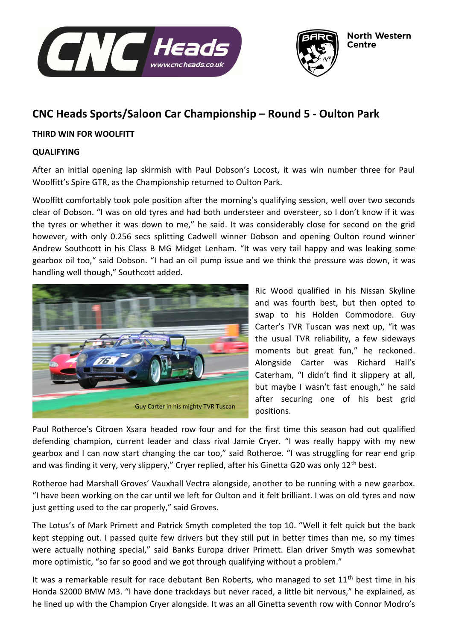



# **CNC Heads Sports/Saloon Car Championship – Round 5 - Oulton Park**

## **THIRD WIN FOR WOOLFITT**

#### **QUALIFYING**

After an initial opening lap skirmish with Paul Dobson's Locost, it was win number three for Paul Woolfitt's Spire GTR, as the Championship returned to Oulton Park.

Woolfitt comfortably took pole position after the morning's qualifying session, well over two seconds clear of Dobson. "I was on old tyres and had both understeer and oversteer, so I don't know if it was the tyres or whether it was down to me," he said. It was considerably close for second on the grid however, with only 0.256 secs splitting Cadwell winner Dobson and opening Oulton round winner Andrew Southcott in his Class B MG Midget Lenham. "It was very tail happy and was leaking some gearbox oil too," said Dobson. "I had an oil pump issue and we think the pressure was down, it was handling well though," Southcott added.



Ric Wood qualified in his Nissan Skyline and was fourth best, but then opted to swap to his Holden Commodore. Guy Carter's TVR Tuscan was next up, "it was the usual TVR reliability, a few sideways moments but great fun," he reckoned. Alongside Carter was Richard Hall's Caterham, "I didn't find it slippery at all, but maybe I wasn't fast enough," he said after securing one of his best grid positions.

Paul Rotheroe's Citroen Xsara headed row four and for the first time this season had out qualified defending champion, current leader and class rival Jamie Cryer. "I was really happy with my new gearbox and I can now start changing the car too," said Rotheroe. "I was struggling for rear end grip and was finding it very, very slippery," Cryer replied, after his Ginetta G20 was only 12<sup>th</sup> best.

Rotheroe had Marshall Groves' Vauxhall Vectra alongside, another to be running with a new gearbox. "I have been working on the car until we left for Oulton and it felt brilliant. I was on old tyres and now just getting used to the car properly," said Groves.

The Lotus's of Mark Primett and Patrick Smyth completed the top 10. "Well it felt quick but the back kept stepping out. I passed quite few drivers but they still put in better times than me, so my times were actually nothing special," said Banks Europa driver Primett. Elan driver Smyth was somewhat more optimistic, "so far so good and we got through qualifying without a problem."

It was a remarkable result for race debutant Ben Roberts, who managed to set  $11<sup>th</sup>$  best time in his Honda S2000 BMW M3. "I have done trackdays but never raced, a little bit nervous," he explained, as he lined up with the Champion Cryer alongside. It was an all Ginetta seventh row with Connor Modro's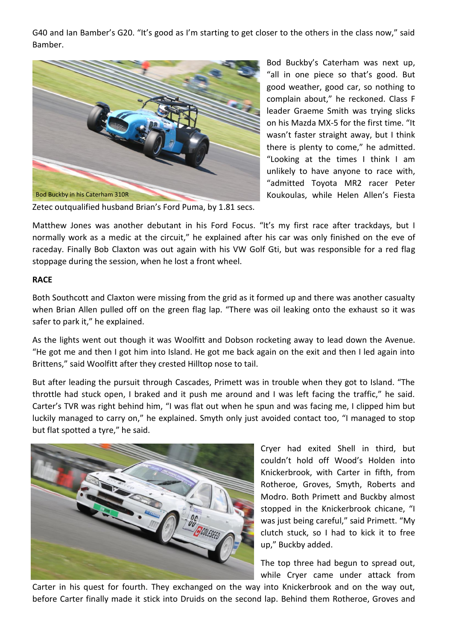G40 and Ian Bamber's G20. "It's good as I'm starting to get closer to the others in the class now," said Bamber.



Bod Buckby's Caterham was next up, "all in one piece so that's good. But good weather, good car, so nothing to complain about," he reckoned. Class F leader Graeme Smith was trying slicks on his Mazda MX-5 for the first time. "It wasn't faster straight away, but I think there is plenty to come," he admitted. "Looking at the times I think I am unlikely to have anyone to race with, "admitted Toyota MR2 racer Peter Koukoulas, while Helen Allen's Fiesta

Zetec outqualified husband Brian's Ford Puma, by 1.81 secs.

Matthew Jones was another debutant in his Ford Focus. "It's my first race after trackdays, but I normally work as a medic at the circuit," he explained after his car was only finished on the eve of raceday. Finally Bob Claxton was out again with his VW Golf Gti, but was responsible for a red flag stoppage during the session, when he lost a front wheel.

### **RACE**

Both Southcott and Claxton were missing from the grid as it formed up and there was another casualty when Brian Allen pulled off on the green flag lap. "There was oil leaking onto the exhaust so it was safer to park it," he explained.

As the lights went out though it was Woolfitt and Dobson rocketing away to lead down the Avenue. "He got me and then I got him into Island. He got me back again on the exit and then I led again into Brittens," said Woolfitt after they crested Hilltop nose to tail.

But after leading the pursuit through Cascades, Primett was in trouble when they got to Island. "The throttle had stuck open, I braked and it push me around and I was left facing the traffic," he said. Carter's TVR was right behind him, "I was flat out when he spun and was facing me, I clipped him but luckily managed to carry on," he explained. Smyth only just avoided contact too, "I managed to stop but flat spotted a tyre," he said.



Cryer had exited Shell in third, but couldn't hold off Wood's Holden into Knickerbrook, with Carter in fifth, from Rotheroe, Groves, Smyth, Roberts and Modro. Both Primett and Buckby almost stopped in the Knickerbrook chicane, "I was just being careful," said Primett. "My clutch stuck, so I had to kick it to free up," Buckby added.

The top three had begun to spread out, while Cryer came under attack from

Carter in his quest for fourth. They exchanged on the way into Knickerbrook and on the way out, before Carter finally made it stick into Druids on the second lap. Behind them Rotheroe, Groves and